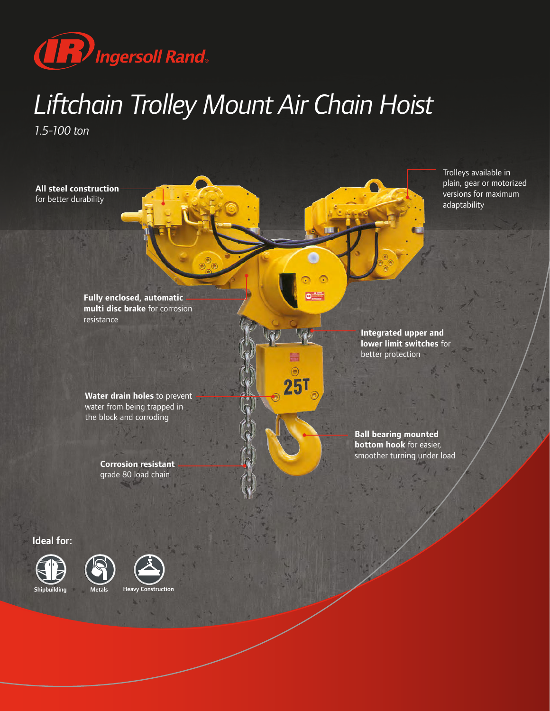

# *Liftchain Trolley Mount Air Chain Hoist*

۵

*1.5-100 ton*

**All steel construction**  for better durability

> **Fully enclosed, automatic multi disc brake** for corrosion resistance

**Water drain holes** to prevent water from being trapped in the block and corroding

> **Corrosion resistant**  grade 80 load chain

Trolleys available in plain, gear or motorized versions for maximum adaptability

**Integrated upper and lower limit switches** for better protection

**Ball bearing mounted bottom hook** for easier, smoother turning under load

#### Ideal for:





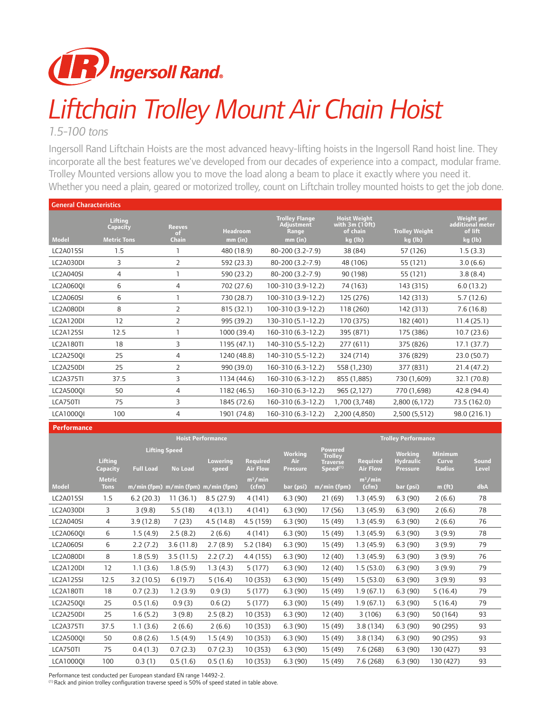

# *Liftchain Trolley Mount Air Chain Hoist*

#### *1.5-100 tons*

Ingersoll Rand Liftchain Hoists are the most advanced heavy-lifting hoists in the Ingersoll Rand hoist line. They incorporate all the best features we've developed from our decades of experience into a compact, modular frame. Trolley Mounted versions allow you to move the load along a beam to place it exactly where you need it. Whether you need a plain, geared or motorized trolley, count on Liftchain trolley mounted hoists to get the job done.

| <b>General Characteristics</b> |                     |                     |                 |                                                     |                                                    |                       |                                           |  |  |  |  |  |
|--------------------------------|---------------------|---------------------|-----------------|-----------------------------------------------------|----------------------------------------------------|-----------------------|-------------------------------------------|--|--|--|--|--|
|                                | Lifting<br>Capacity | <b>Reeves</b><br>of | <b>Headroom</b> | <b>Trolley Flange</b><br><b>Adjustment</b><br>Range | <b>Hoist Weight</b><br>with $3m(10ft)$<br>of chain | <b>Trolley Weight</b> | Weight per<br>additional meter<br>of lift |  |  |  |  |  |
| <b>Model</b>                   | <b>Metric Tons</b>  | <b>Chain</b>        | mm (in)         | mm (in)                                             | kg (lb)                                            | kg (lb)               | kg (lb)                                   |  |  |  |  |  |
| <b>LC2A015SI</b>               | 1.5                 |                     | 480 (18.9)      | 80-200 (3.2-7.9)                                    | 38 (84)                                            | 57 (126)              | 1.5(3.3)                                  |  |  |  |  |  |
| <b>LC2A030DI</b>               | 3                   | $\overline{2}$      | 592 (23.3)      | 80-200 (3.2-7.9)                                    | 48 (106)                                           | 55 (121)              | 3.0(6.6)                                  |  |  |  |  |  |
| <b>LC2A040SI</b>               | 4                   |                     | 590 (23.2)      | 80-200 (3.2-7.9)                                    | 90 (198)                                           | 55 (121)              | 3.8(8.4)                                  |  |  |  |  |  |
| LC2A0600I                      | 6                   | 4                   | 702 (27.6)      | 100-310 (3.9-12.2)                                  | 74 (163)                                           | 143 (315)             | 6.0(13.2)                                 |  |  |  |  |  |
| <b>LC2A060SI</b>               | 6                   |                     | 730 (28.7)      | 100-310 (3.9-12.2)                                  | 125 (276)                                          | 142 (313)             | 5.7(12.6)                                 |  |  |  |  |  |
| LC2A080DI                      | 8                   | $\overline{2}$      | 815 (32.1)      | 100-310 (3.9-12.2)                                  | 118 (260)                                          | 142 (313)             | 7.6(16.8)                                 |  |  |  |  |  |
| LC2A120DI                      | 12                  | $\overline{2}$      | 995 (39.2)      | 130-310 (5.1-12.2)                                  | 170 (375)                                          | 182 (401)             | 11.4(25.1)                                |  |  |  |  |  |
| LC2A125SI                      | 12.5                |                     | 1000 (39.4)     | 160-310 (6.3-12.2)                                  | 395 (871)                                          | 175 (386)             | 10.7(23.6)                                |  |  |  |  |  |
| LC2A180TI                      | 18                  | 3                   | 1195 (47.1)     | 140-310 (5.5-12.2)                                  | 277 (611)                                          | 375 (826)             | 17.1(37.7)                                |  |  |  |  |  |
| LC2A2500I                      | 25                  | 4                   | 1240 (48.8)     | 140-310 (5.5-12.2)                                  | 324 (714)                                          | 376 (829)             | 23.0 (50.7)                               |  |  |  |  |  |
| LC2A250DI                      | 25                  | $\overline{2}$      | 990 (39.0)      | 160-310 (6.3-12.2)                                  | 558 (1,230)                                        | 377 (831)             | 21.4 (47.2)                               |  |  |  |  |  |
| <b>LC2A375TI</b>               | 37.5                | 3                   | 1134 (44.6)     | 160-310 (6.3-12.2)                                  | 855 (1,885)                                        | 730 (1,609)           | 32.1 (70.8)                               |  |  |  |  |  |
| LC2A500QI                      | 50                  | 4                   | 1182 (46.5)     | 160-310 (6.3-12.2)                                  | 965 (2,127)                                        | 770 (1,698)           | 42.8 (94.4)                               |  |  |  |  |  |
| LCA750TI                       | 75                  | 3                   | 1845 (72.6)     | 160-310 (6.3-12.2)                                  | 1,700 (3,748)                                      | 2,800 (6,172)         | 73.5 (162.0)                              |  |  |  |  |  |
| <b>LCA10000I</b>               | 100                 | 4                   | 1901 (74.8)     | 160-310 (6.3-12.2)                                  | 2,200 (4,850)                                      | 2,500 (5,512)         | 98.0 (216.1)                              |  |  |  |  |  |
|                                |                     |                     |                 |                                                     |                                                    |                       |                                           |  |  |  |  |  |

| <b>Performance</b> |                              |                                                                                 |           |                                    |                                          |                                                                             |                                    |                                                       |                                          |                       |     |  |  |
|--------------------|------------------------------|---------------------------------------------------------------------------------|-----------|------------------------------------|------------------------------------------|-----------------------------------------------------------------------------|------------------------------------|-------------------------------------------------------|------------------------------------------|-----------------------|-----|--|--|
|                    |                              |                                                                                 |           | <b>Hoist Performance</b>           | <b>Trolley Performance</b>               |                                                                             |                                    |                                                       |                                          |                       |     |  |  |
|                    | <b>Lifting</b><br>Capacity   | <b>Lifting Speed</b><br><b>Lowering</b><br>No Load<br><b>Full Load</b><br>speed |           | <b>Required</b><br><b>Air Flow</b> | <b>Working</b><br>Air<br><b>Pressure</b> | <b>Powered</b><br><b>Trolley</b><br><b>Traverse</b><br>Speed <sup>(1)</sup> | <b>Required</b><br><b>Air Flow</b> | <b>Working</b><br><b>Hydraulic</b><br><b>Pressure</b> | <b>Minimum</b><br>Curve<br><b>Radius</b> | <b>Sound</b><br>Level |     |  |  |
| <b>Model</b>       | <b>Metric</b><br><b>Tons</b> | m/min (fpm) m/min (fpm) m/min (fpm)                                             |           |                                    | $m^3/m$ in<br>(cfm)                      | bar (psi)                                                                   | m/min (fpm)                        | $m^3/m$ in<br>(cfm)                                   | bar (psi)                                | m(f <sub>t</sub> )    | dbA |  |  |
| <b>LC2A015SI</b>   | 1.5                          | 6.2(20.3)                                                                       | 11(36.1)  | 8.5(27.9)                          | 4(141)                                   | 6.3(90)                                                                     | 21(69)                             | 1.3(45.9)                                             | 6.3(90)                                  | 2(6.6)                | 78  |  |  |
| LC2A030DI          | 3                            | 3(9.8)                                                                          | 5.5(18)   | 4(13.1)                            | 4(141)                                   | 6.3(90)                                                                     | 17 (56)                            | 1.3(45.9)                                             | 6.3(90)                                  | 2(6.6)                | 78  |  |  |
| LC2A040SI          | $\overline{4}$               | 3.9(12.8)                                                                       | 7(23)     | 4.5(14.8)                          | 4.5 (159)                                | 6.3(90)                                                                     | 15 (49)                            | 1.3(45.9)                                             | 6.3(90)                                  | 2(6.6)                | 76  |  |  |
| LC2A0600I          | 6                            | 1.5(4.9)                                                                        | 2.5(8.2)  | 2(6.6)                             | 4(141)                                   | 6.3(90)                                                                     | 15 (49)                            | 1.3(45.9)                                             | 6.3(90)                                  | 3(9.9)                | 78  |  |  |
| <b>LC2A060SI</b>   | 6                            | 2.2(7.2)                                                                        | 3.6(11.8) | 2.7(8.9)                           | 5.2 (184)                                | 6.3(90)                                                                     | 15 (49)                            | 1.3(45.9)                                             | 6.3(90)                                  | 3(9.9)                | 79  |  |  |
| LC2A080DI          | 8                            | 1.8(5.9)                                                                        | 3.5(11.5) | 2.2(7.2)                           | 4.4 (155)                                | 6.3(90)                                                                     | 12 (40)                            | 1.3(45.9)                                             | 6.3(90)                                  | 3(9.9)                | 76  |  |  |
| LC2A120DI          | 12                           | 1.1(3.6)                                                                        | 1.8(5.9)  | 1.3(4.3)                           | 5(177)                                   | 6.3(90)                                                                     | 12 (40)                            | 1.5(53.0)                                             | 6.3(90)                                  | 3(9.9)                | 79  |  |  |
| <b>LC2A125SI</b>   | 12.5                         | 3.2(10.5)                                                                       | 6(19.7)   | 5(16.4)                            | 10 (353)                                 | 6.3(90)                                                                     | 15 (49)                            | 1.5(53.0)                                             | 6.3(90)                                  | 3(9.9)                | 93  |  |  |
| LC2A180TI          | 18                           | 0.7(2.3)                                                                        | 1.2(3.9)  | 0.9(3)                             | 5(177)                                   | 6.3(90)                                                                     | 15 (49)                            | 1.9(67.1)                                             | 6.3(90)                                  | 5(16.4)               | 79  |  |  |
| LC2A250QI          | 25                           | 0.5(1.6)                                                                        | 0.9(3)    | 0.6(2)                             | 5(177)                                   | 6.3(90)                                                                     | 15 (49)                            | 1.9(67.1)                                             | 6.3(90)                                  | 5(16.4)               | 79  |  |  |
| LC2A250DI          | 25                           | 1.6(5.2)                                                                        | 3(9.8)    | 2.5(8.2)                           | 10 (353)                                 | 6.3(90)                                                                     | 12 (40)                            | 3(106)                                                | 6.3(90)                                  | 50 (164)              | 93  |  |  |
| <b>LC2A375TI</b>   | 37.5                         | 1.1(3.6)                                                                        | 2(6.6)    | 2(6.6)                             | 10 (353)                                 | 6.3(90)                                                                     | 15 (49)                            | 3.8(134)                                              | 6.3(90)                                  | 90 (295)              | 93  |  |  |
| LC2A50001          | 50                           | 0.8(2.6)                                                                        | 1.5(4.9)  | 1.5(4.9)                           | 10 (353)                                 | 6.3(90)                                                                     | 15 (49)                            | 3.8 (134)                                             | 6.3(90)                                  | 90 (295)              | 93  |  |  |
| LCA750TI           | 75                           | 0.4(1.3)                                                                        | 0.7(2.3)  | 0.7(2.3)                           | 10 (353)                                 | 6.3(90)                                                                     | 15 (49)                            | 7.6 (268)                                             | 6.3(90)                                  | 130 (427)             | 93  |  |  |
| <b>LCA10000I</b>   | 100                          | 0.3(1)                                                                          | 0.5(1.6)  | 0.5(1.6)                           | 10(353)                                  | 6.3(90)                                                                     | 15 (49)                            | 7.6(268)                                              | 6.3(90)                                  | 130 (427)             | 93  |  |  |

Performance test conducted per European standard EN range 14492-2.

(1) Rack and pinion trolley configuration traverse speed is 50% of speed stated in table above.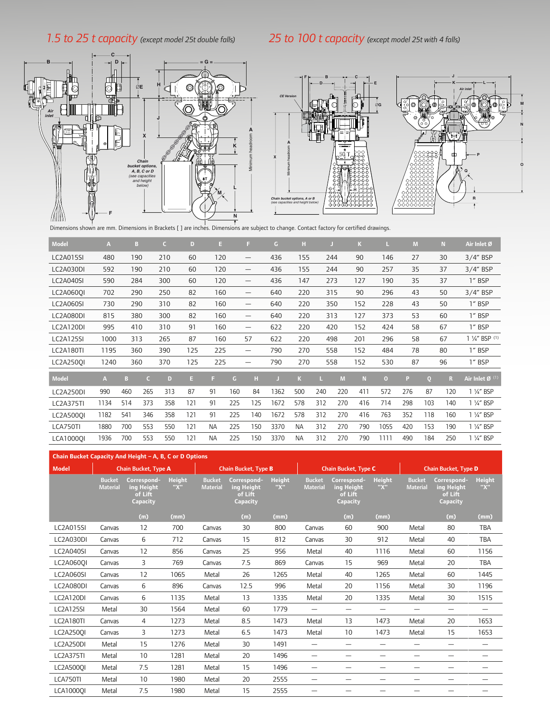### *1.5 to 25 t capacity (except model 25t double falls)*

### *25 to 100 t capacity (except model 25t with 4 falls)*







THE DIMENSIONS SHOWN ARE MITHDUS SHOWN ARE DIMENSIONS SHOWN ARE DIMENSIONS Shown are mm. Dimensions in Brackets [ ] are inches. Dimensions are subject to change. Contact factory for certified drawings.

| <b>Model</b>     | A              | B   |            | c.  | D   | E.        |              | E.                              | G    | н         |     |     | K   |          | M   |                | N   | Air Inlet Ø                |
|------------------|----------------|-----|------------|-----|-----|-----------|--------------|---------------------------------|------|-----------|-----|-----|-----|----------|-----|----------------|-----|----------------------------|
| <b>LC2A015SI</b> | 480            | 190 |            | 210 | 60  | 120       |              | $\overline{\phantom{0}}$        | 436  | 155       |     | 244 | 90  | 146      | 27  |                | 30  | $3/4$ " BSP                |
| LC2A030DI        | 592            | 190 |            | 210 | 60  | 120       |              | $\hspace{0.1mm}-\hspace{0.1mm}$ | 436  | 155       |     | 244 | 90  | 257      | 35  |                | 37  | $3/4$ " BSP                |
| LC2A040SI        | 590            | 284 |            | 300 | 60  | 120       |              | —                               | 436  | 147       |     | 273 | 127 | 190      | 35  |                | 37  | 1" BSP                     |
| LC2A0600I        | 702            | 290 |            | 250 | 82  | 160       |              | —                               | 640  | 220       |     | 315 | 90  | 296      | 43  |                | 50  | $3/4$ " BSP                |
| <b>LC2A060SI</b> | 730            | 290 |            | 310 | 82  | 160       |              | —                               | 640  | 220       |     | 350 | 152 | 228      | 43  |                | 50  | 1" BSP                     |
| LC2A080DI        | 815            | 380 |            | 300 | 82  | 160       |              | $\overline{\phantom{0}}$        | 640  | 220       |     | 313 | 127 | 373      | 53  |                | 60  | 1" BSP                     |
| LC2A120DI        | 995            | 410 |            | 310 | 91  | 160       |              | —                               | 622  | 220       |     | 420 | 152 | 424      | 58  |                | 67  | 1" BSP                     |
| <b>LC2A125SI</b> | 1000           | 313 |            | 265 | 87  | 160       |              | 57                              | 622  | 220       |     | 498 | 201 | 296      | 58  |                | 67  | 1 1/4" BSP (1)             |
| LC2A180TI        | 1195           | 360 |            | 390 | 125 | 225       |              | —                               | 790  | 270       |     | 558 | 152 | 484      | 78  |                | 80  | 1" BSP                     |
| LC2A2500I        | 1240           | 360 |            | 370 | 125 | 225       |              | $\hspace{0.1mm}-\hspace{0.1mm}$ | 790  | 270       |     | 558 | 152 | 530      | 87  |                | 96  | 1" BSP                     |
| <b>Model</b>     | $\overline{A}$ | в   | $\epsilon$ | D   | E   | н         | $\mathsf{G}$ | H                               |      | K         |     | M   | N   | $\bf{0}$ | P   | $\overline{0}$ | R   | Air Inlet Ø <sup>(1)</sup> |
| LC2A250DI        | 990            | 460 | 265        | 313 | 87  | 91        | 160          | 84                              | 1362 | 500       | 240 | 220 | 411 | 572      | 276 | 87             | 120 | 1 1/4" BSP                 |
| <b>LC2A375TI</b> | 1134           | 514 | 373        | 358 | 121 | 91        | 225          | 125                             | 1672 | 578       | 312 | 270 | 416 | 714      | 298 | 103            | 140 | 1 1/4" BSP                 |
| LC2A5000I        | 1182           | 541 | 346        | 358 | 121 | 91        | 225          | 140                             | 1672 | 578       | 312 | 270 | 416 | 763      | 352 | 118            | 160 | 1 1/4" BSP                 |
| LCA750TI         | 1880           | 700 | 553        | 550 | 121 | <b>NA</b> | 225          | 150                             | 3370 | <b>NA</b> | 312 | 270 | 790 | 1055     | 420 | 153            | 190 | 1 1/4" BSP                 |
| <b>LCA10000I</b> | 1936           | 700 | 553        | 550 | 121 | <b>NA</b> | 225          | 150                             | 3370 | <b>NA</b> | 312 | 270 | 790 | 1111     | 490 | 184            | 250 | 1 1/4" BSP                 |

| Chain Bucket Capacity And Height - A, B, C or D Options |                                  |                                                  |                      |                                  |                                                  |                      |                                  |                                                  |                          |                                  |                                                  |                      |  |
|---------------------------------------------------------|----------------------------------|--------------------------------------------------|----------------------|----------------------------------|--------------------------------------------------|----------------------|----------------------------------|--------------------------------------------------|--------------------------|----------------------------------|--------------------------------------------------|----------------------|--|
| <b>Model</b>                                            |                                  | <b>Chain Bucket, Type A</b>                      |                      |                                  | <b>Chain Bucket, Type B</b>                      |                      |                                  | <b>Chain Bucket, Type C</b>                      |                          | <b>Chain Bucket, Type D</b>      |                                                  |                      |  |
|                                                         | <b>Bucket</b><br><b>Material</b> | Correspond-<br>ing Height<br>of Lift<br>Capacity | <b>Height</b><br>"X" | <b>Bucket</b><br><b>Material</b> | Correspond-<br>ing Height<br>of Lift<br>Capacity | <b>Height</b><br>"X" | <b>Bucket</b><br><b>Material</b> | Correspond-<br>ing Height<br>of Lift<br>Capacity | <b>Height</b><br>"X"     | <b>Bucket</b><br><b>Material</b> | Correspond-<br>ing Height<br>of Lift<br>Capacity | <b>Height</b><br>"X" |  |
|                                                         |                                  | (m)                                              | (mm)                 |                                  | (m)                                              | (mm)                 |                                  | (m)                                              | (mm)                     |                                  | (m)                                              | (mm)                 |  |
| <b>LC2A015SI</b>                                        | Canvas                           | 12                                               | 700                  | Canvas                           | 30                                               | 800                  | Canvas                           | 60                                               | 900                      | Metal                            | 80                                               | <b>TBA</b>           |  |
| LC2A030DI                                               | Canvas                           | 6                                                | 712                  | Canvas                           | 15                                               | 812                  | Canvas                           | 30                                               | 912                      | Metal                            | 40                                               | <b>TBA</b>           |  |
| <b>LC2A040SI</b>                                        | Canvas                           | 12                                               | 856                  | Canvas                           | 25                                               | 956                  | Metal                            | 40                                               | 1116                     | Metal                            | 60                                               | 1156                 |  |
| LC2A0600I                                               | Canvas                           | 3                                                | 769                  | Canvas                           | 7.5                                              | 869                  | Canvas                           | 15                                               | 969                      | Metal                            | 20                                               | <b>TBA</b>           |  |
| <b>LC2A060SI</b>                                        | Canvas                           | 12                                               | 1065                 | Metal                            | 26                                               | 1265                 | Metal                            | 40                                               | 1265                     | Metal                            | 60                                               | 1445                 |  |
| LC2A080DI                                               | Canvas                           | 6                                                | 896                  | Canvas                           | 12.5                                             | 996                  | Metal                            | 20                                               | 1156                     | Metal                            | 30                                               | 1196                 |  |
| LC2A120DI                                               | Canvas                           | 6                                                | 1135                 | Metal                            | 13                                               | 1335                 | Metal                            | 20                                               | 1335                     | Metal                            | 30                                               | 1515                 |  |
| LC2A125SI                                               | Metal                            | 30                                               | 1564                 | Metal                            | 60                                               | 1779                 | —                                | -                                                |                          |                                  |                                                  |                      |  |
| LC2A180TI                                               | Canvas                           | 4                                                | 1273                 | Metal                            | 8.5                                              | 1473                 | Metal                            | 13                                               | 1473                     | Metal                            | 20                                               | 1653                 |  |
| <b>LC2A2500I</b>                                        | Canvas                           | 3                                                | 1273                 | Metal                            | 6.5                                              | 1473                 | Metal                            | 10                                               | 1473                     | Metal                            | 15                                               | 1653                 |  |
| LC2A250DI                                               | Metal                            | 15                                               | 1276                 | Metal                            | 30                                               | 1491                 |                                  | -                                                | $\overline{\phantom{0}}$ |                                  | $\overline{\phantom{0}}$                         |                      |  |
| <b>LC2A375TI</b>                                        | Metal                            | 10                                               | 1281                 | Metal                            | 20                                               | 1496                 | -                                | -                                                | -                        | -                                | -                                                | -                    |  |
| LC2A5000I                                               | Metal                            | 7.5                                              | 1281                 | Metal                            | 15                                               | 1496                 | -                                | -                                                | -                        |                                  | -                                                |                      |  |
| LCA750TI                                                | Metal                            | 10                                               | 1980                 | Metal                            | 20                                               | 2555                 | $\overline{\phantom{0}}$         | —                                                | -                        | –                                |                                                  |                      |  |
| <b>LCA10000I</b>                                        | Metal                            | 7.5                                              | 1980                 | Metal                            | 15                                               | 2555                 |                                  |                                                  |                          |                                  |                                                  |                      |  |